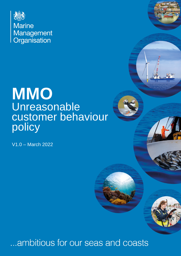

# **MMO**  Unreasonable customer behaviour policy

V1.0 – March 2022

## ambitious for our seas and coasts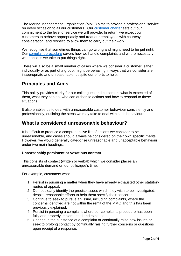The Marine Management Organisation (MMO) aims to provide a professional service on every occasion to all our customers. Our [customer charter](https://www.gov.uk/government/organisations/marine-management-organisation/about-our-services#customer-charter) sets out our commitment to the level of service we will provide. In return, we expect our customers to behave appropriately and treat our employees with courtesy, consideration, and respect, to allow them to carry out their work.

We recognise that sometimes things can go wrong and might need to be put right. Our [complaint procedure](https://www.gov.uk/government/organisations/marine-management-organisation/about/complaints-procedure) covers how we handle complaints and where necessary, what actions we take to put things right.

There will also be a small number of cases where we consider a customer, either individually or as part of a group, might be behaving in ways that we consider are inappropriate and unreasonable, despite our efforts to help.

## **Principles and Aims**

This policy provides clarity for our colleagues and customers what is expected of them, what they can do, who can authorise actions and how to respond to these situations.

 It also enables us to deal with unreasonable customer behaviour consistently and professionally, outlining the steps we may take to deal with such behaviours.

## **What is considered unreasonable behaviour?**

 unreasonable, and cases should always be considered on their own specific merits. It is difficult to produce a comprehensive list of actions we consider to be However, we would generally categorise unreasonable and unacceptable behaviour under two main headings.

#### **Unreasonably persistent or vexatious contact**

 This consists of contact (written or verbal) which we consider places an unreasonable demand on our colleague's time.

For example, customers who:

- 1. Persist in pursuing a matter when they have already exhausted other statutory routes of appeal.
- 2. Do not clearly identify the precise issues which they wish to be investigated, despite reasonable efforts to help them specify their concerns.
- 3. Continue to seek to pursue an issue, including complaints, where the concerns identified are not within the remit of the MMO and this has been previously explained.
- 4. Persist in pursuing a complaint where our complaints procedure has been fully and properly implemented and exhausted
- 5. Change in the substance of a complaint or continually raise new issues or seek to prolong contact by continually raising further concerns or questions upon receipt of a response.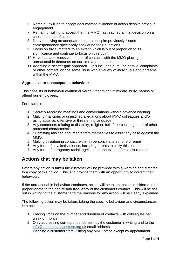- 6. Remain unwilling to accept documented evidence of action despite previous engagement.
- 7. Remain unwilling to accept that the MMO has reached a final decision on a chosen course of action.
- 8. Deny receiving an adequate response despite previously issued correspondence specifically answering their questions
- 9. Focus on trivial matters to an extent which is out of proportion to its significance and continue to focus on this point.
- 10.Have has an excessive number of contacts with the MMO placing unreasonable demands on our time and resources.
- 11.Adopting a 'scatter gun' approach. This includes pursuing parallel complaints, or other contact, on the same issue with a variety of individuals and/or teams within the MMO.

#### **Aggressive or unacceptable behaviour**

 This consists of behaviour (written or verbal) that might intimidate, bully, harass or offend our employees.

For example:

- 1. Secretly recording meetings and conversations without advance warning.
- 2. Making malicious or unjustified allegations about MMO colleagues and/or using abusive, offensive or threatening language
- 3. Any comments relating to disability, religion, belief, perceived gender of other protected characteristic
- 4. Submitting falsified documents from themselves to assist any case against the MMO.
- 5. Making threatening contact, either in person, via telephone or email
- 6. Any form of physical violence, including threats to carry this out
- 7. Any form of derogatory racial, ageist, homophobic and/or sexist remarks

## **Actions that may be taken**

Before any action is taken the customer will be provided with a warning and directed to a copy of this policy. This is to provide them with an opportunity to correct their behaviour.

 If the unreasonable behaviour continues, action will be taken that is considered to be proportionate to the nature and frequency of the customers contact. This will be set out in writing to the customer and the reasons for any action will be clearly explained.

 The following action may be taken, taking the specific behaviour and circumstances into account:

- 1. Placing limits on the number and duration of contacts with colleagues per week or month
- 2. Only addressing correspondence sent by the customer in writing and to the [info@marinemanagement.org.uk](mailto:info@marinemanagement.org.uk) email address.
- 3. Banning a customer from visiting any MMO office except by appointment